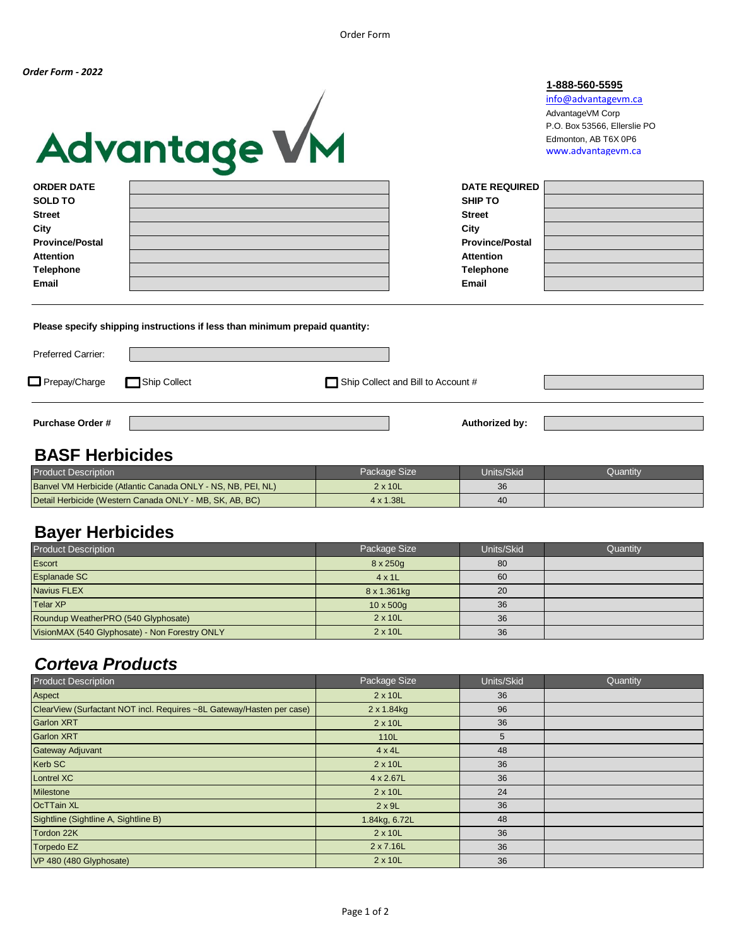# Advantage VM



| <b>ORDER DATE</b>      | <b>DATE REQUIRED</b>   |  |
|------------------------|------------------------|--|
| <b>SOLD TO</b>         | <b>SHIP TO</b>         |  |
| <b>Street</b>          | <b>Street</b>          |  |
| City                   | City                   |  |
| <b>Province/Postal</b> | <b>Province/Postal</b> |  |
| Attention              | Attention              |  |
| Telephone              | Telephone              |  |
| Email                  | <b>Email</b>           |  |
|                        |                        |  |

**Please specify shipping instructions if less than minimum prepaid quantity:**

| <b>Preferred Carrier:</b>  |  |                                    |  |
|----------------------------|--|------------------------------------|--|
| Prepay/Charge Ship Collect |  | Ship Collect and Bill to Account # |  |
| <b>Purchase Order #</b>    |  | Authorized by:                     |  |

#### **BASF Herbicides**

| <b>Product Description</b>                                   | Package Size      | Units/Skid | Quantitv |
|--------------------------------------------------------------|-------------------|------------|----------|
| Banvel VM Herbicide (Atlantic Canada ONLY - NS, NB, PEI, NL) | $2 \times 10L$    | 36         |          |
| Detail Herbicide (Western Canada ONLY - MB, SK, AB, BC)      | $4 \times 1.38$ L | 40         |          |

#### **Bayer Herbicides**

| <b>Product Description</b>                     | Package Size     | Units/Skid | Quantity |
|------------------------------------------------|------------------|------------|----------|
| Escort                                         | $8 \times 250q$  | 80         |          |
| <b>Esplanade SC</b>                            | $4 \times 1$     | 60         |          |
| Navius FLEX                                    | 8 x 1.361kg      | 20         |          |
| <b>Telar XP</b>                                | $10 \times 500q$ | 36         |          |
| Roundup WeatherPRO (540 Glyphosate)            | $2 \times 10L$   | 36         |          |
| VisionMAX (540 Glyphosate) - Non Forestry ONLY | $2 \times 10L$   | 36         |          |

## *Corteva Products*

| <b>Product Description</b>                                            | Package Size       | Units/Skid | Quantity |
|-----------------------------------------------------------------------|--------------------|------------|----------|
| Aspect                                                                | $2 \times 10L$     | 36         |          |
| ClearView (Surfactant NOT incl. Requires ~8L Gateway/Hasten per case) | $2 \times 1.84$ kg | 96         |          |
| <b>Garlon XRT</b>                                                     | $2 \times 10L$     | 36         |          |
| <b>Garlon XRT</b>                                                     | 110L               | 5          |          |
| <b>Gateway Adjuvant</b>                                               | $4 \times 4L$      | 48         |          |
| Kerb SC                                                               | $2 \times 10L$     | 36         |          |
| <b>Lontrel XC</b>                                                     | 4 x 2.67L          | 36         |          |
| <b>Milestone</b>                                                      | $2 \times 10L$     | 24         |          |
| <b>OcTTain XL</b>                                                     | $2 \times 9L$      | 36         |          |
| Sightline (Sightline A, Sightline B)                                  | 1.84kg, 6.72L      | 48         |          |
| Tordon 22K                                                            | $2 \times 10L$     | 36         |          |
| Torpedo EZ                                                            | $2 \times 7.16$ L  | 36         |          |
| VP 480 (480 Glyphosate)                                               | 2 x 10L            | 36         |          |